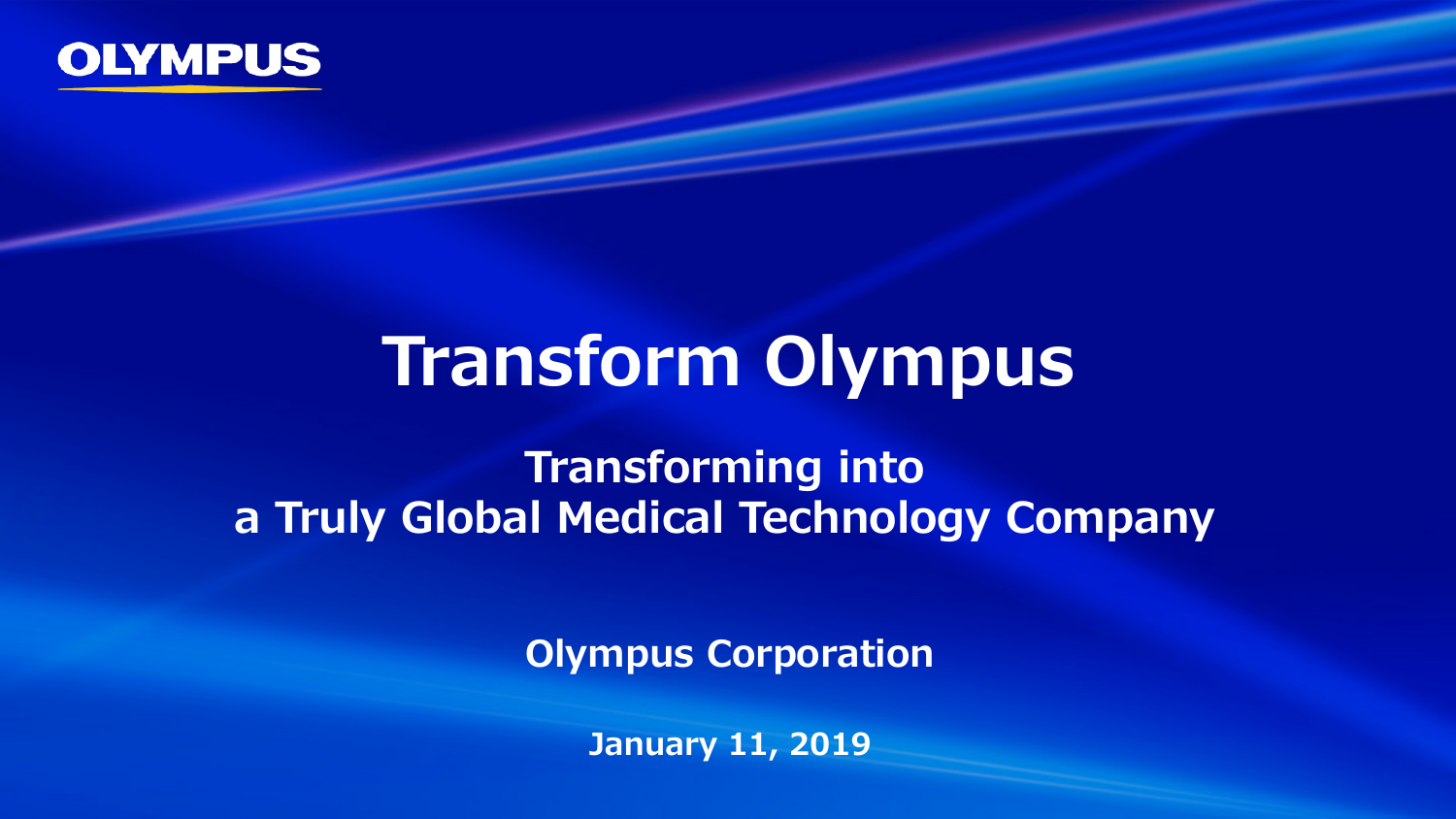

# **Transform Olympus**

**Transforming into a Truly Global Medical Technology Company**

**Olympus Corporation**

**January 11, 2019**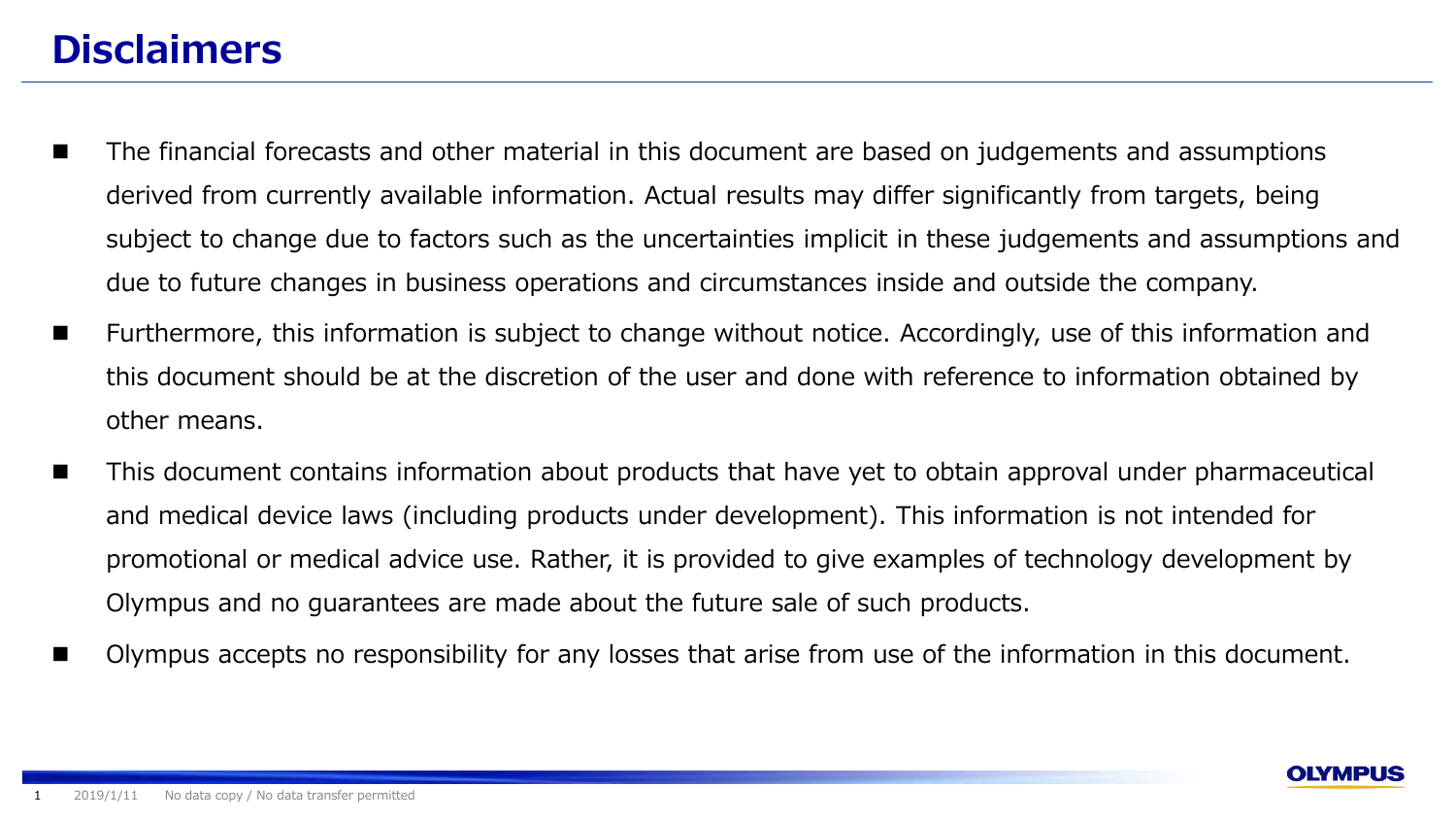# **Disclaimers**

- The financial forecasts and other material in this document are based on judgements and assumptions derived from currently available information. Actual results may differ significantly from targets, being subject to change due to factors such as the uncertainties implicit in these judgements and assumptions and due to future changes in business operations and circumstances inside and outside the company.
- Furthermore, this information is subject to change without notice. Accordingly, use of this information and this document should be at the discretion of the user and done with reference to information obtained by other means.
- This document contains information about products that have yet to obtain approval under pharmaceutical and medical device laws (including products under development). This information is not intended for promotional or medical advice use. Rather, it is provided to give examples of technology development by Olympus and no guarantees are made about the future sale of such products.
- Olympus accepts no responsibility for any losses that arise from use of the information in this document.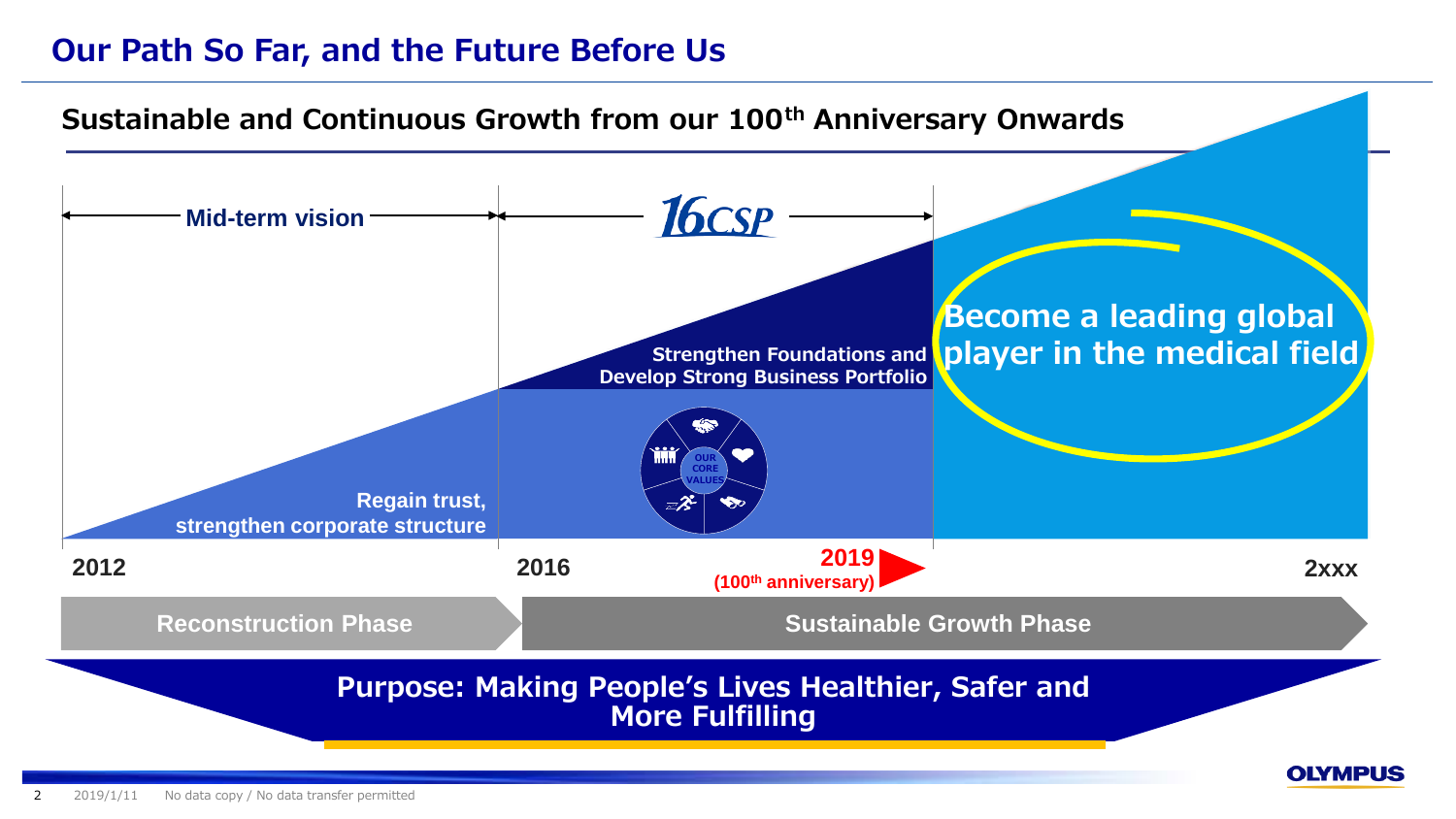# **Our Path So Far, and the Future Before Us**

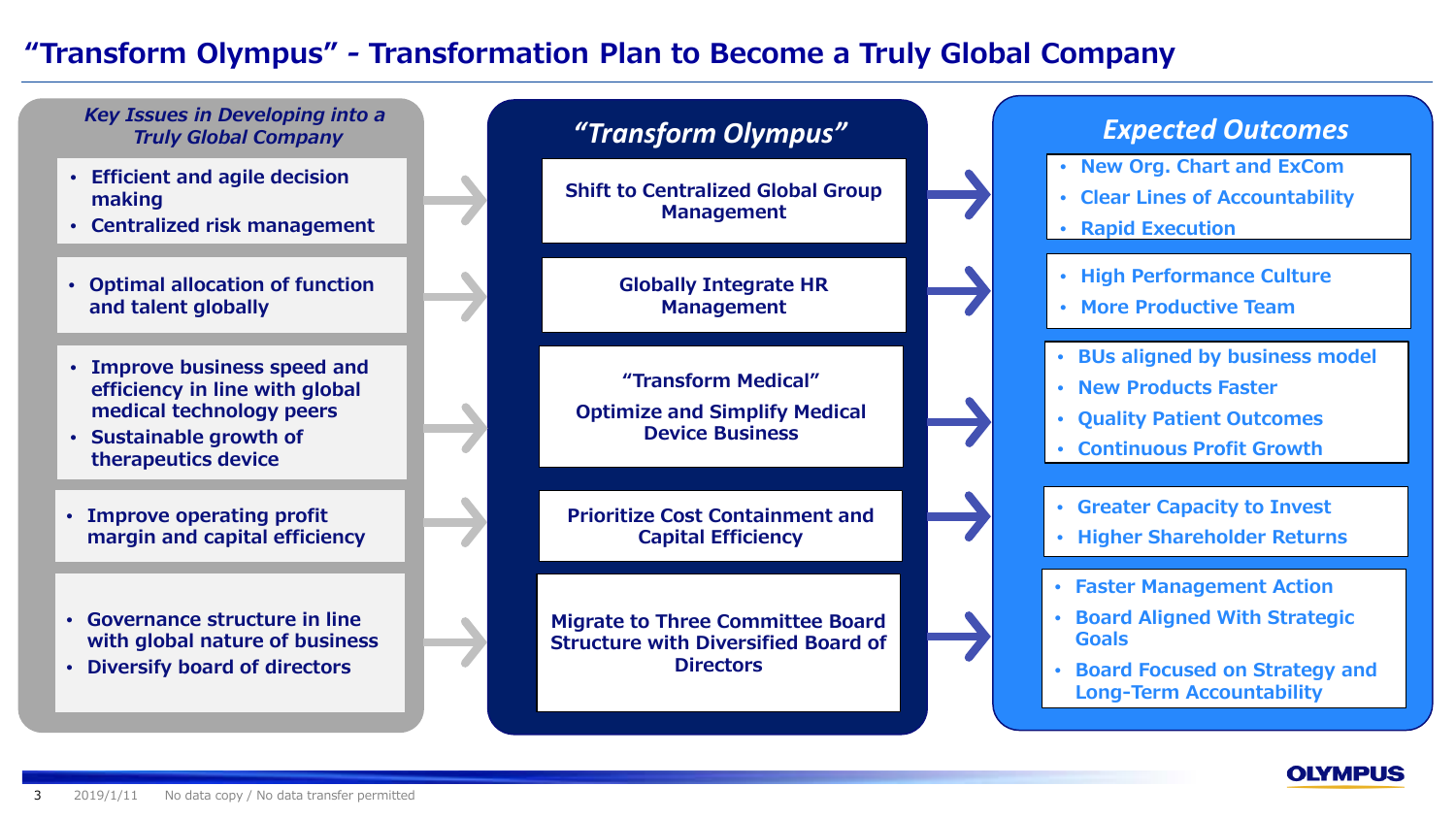### **"Transform Olympus"** *-* **Transformation Plan to Become a Truly Global Company**



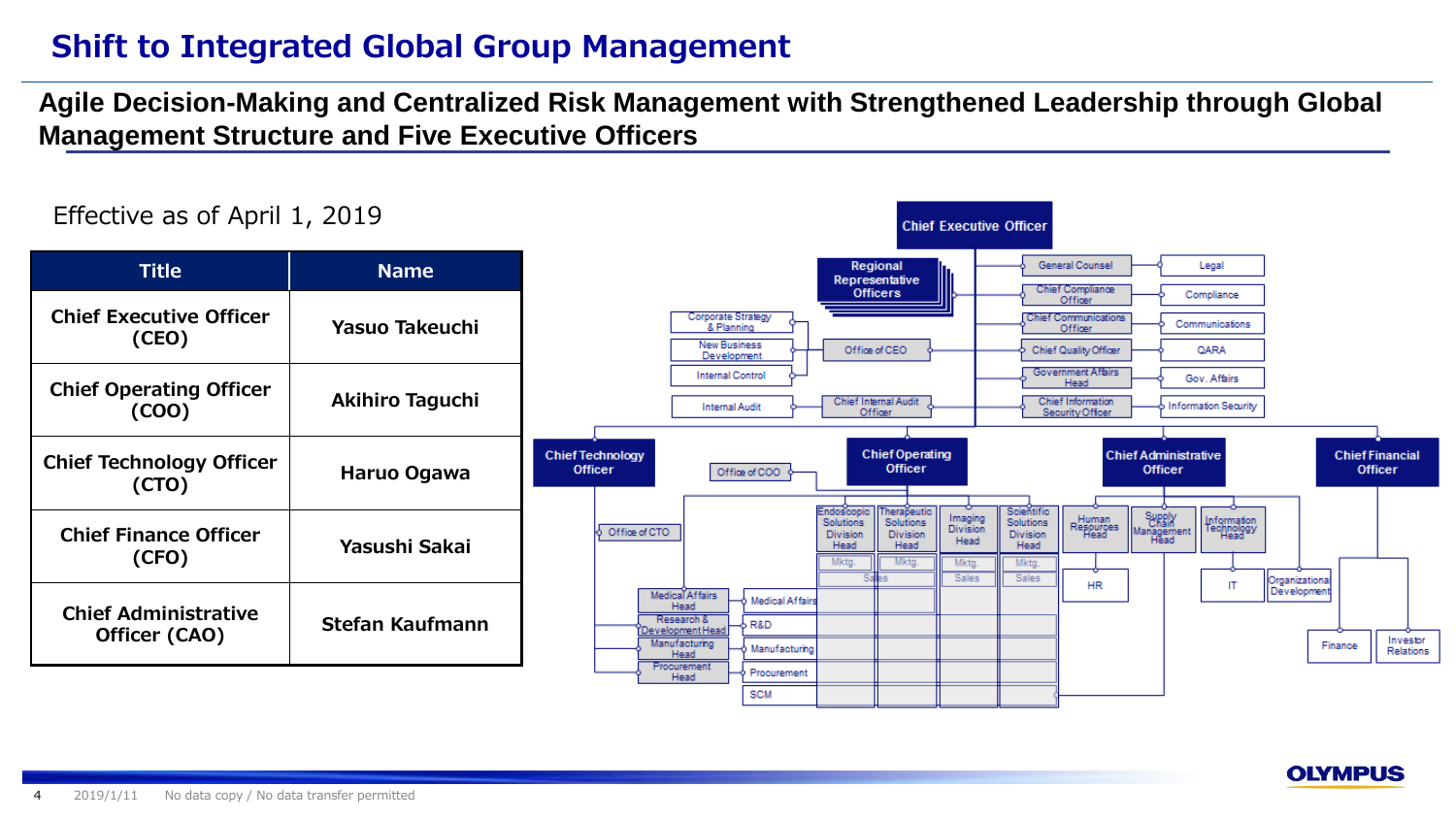# **Shift to Integrated Global Group Management**

#### **Agile Decision-Making and Centralized Risk Management with Strengthened Leadership through Global Management Structure and Five Executive Officers**



#### **OLYMPUS**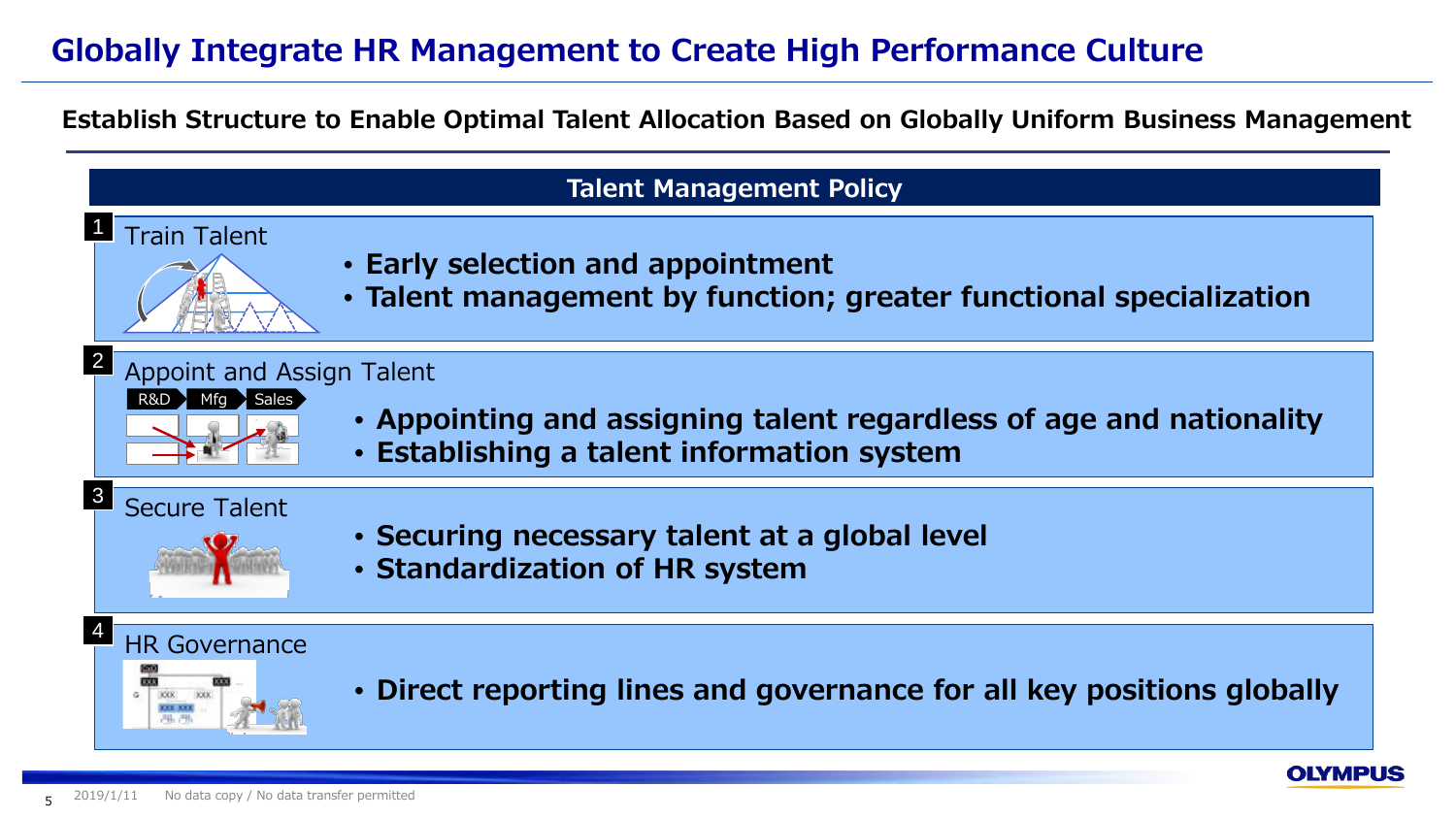# **Globally Integrate HR Management to Create High Performance Culture**

**Establish Structure to Enable Optimal Talent Allocation Based on Globally Uniform Business Management**

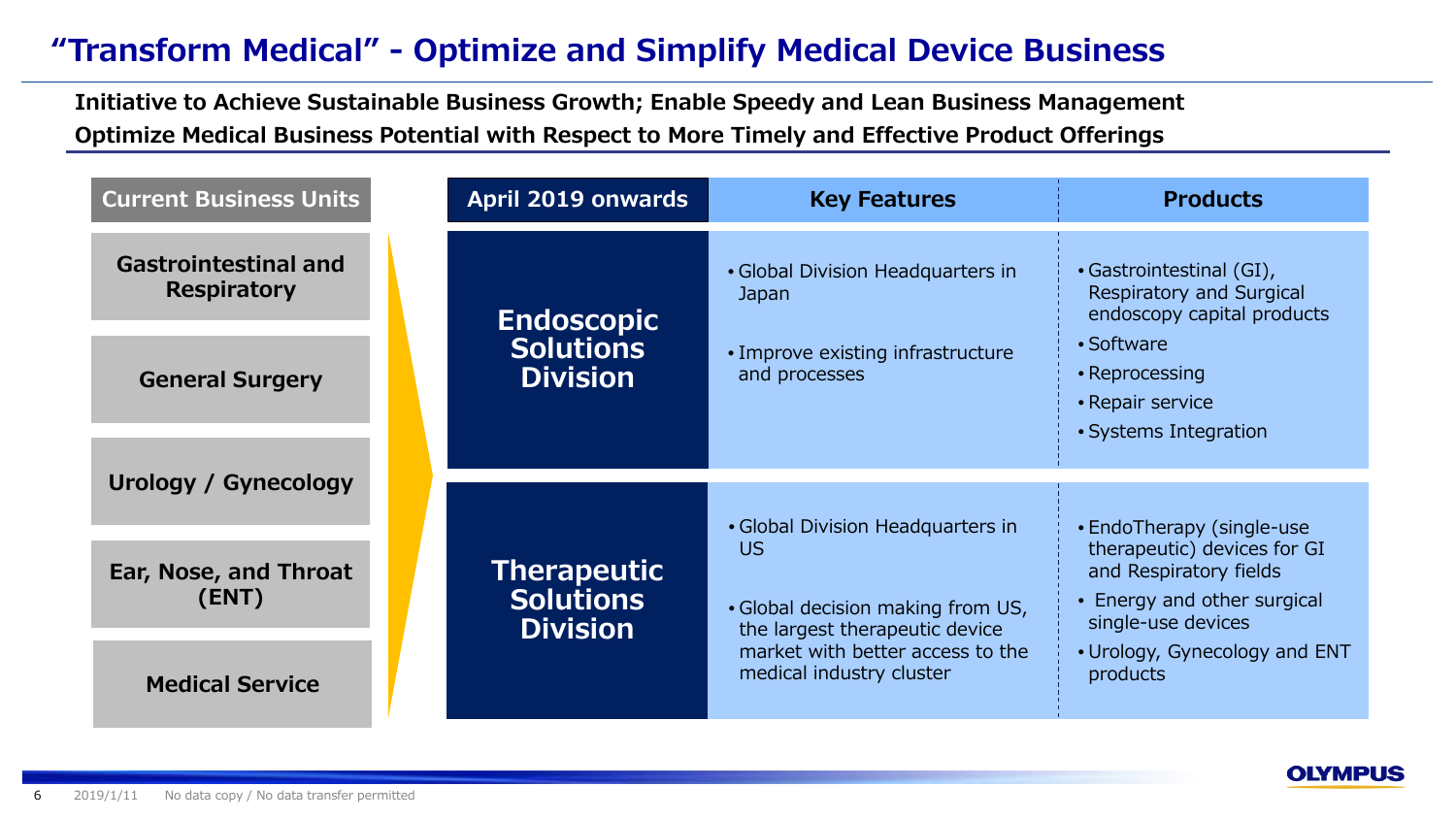# **"Transform Medical" - Optimize and Simplify Medical Device Business**

**Initiative to Achieve Sustainable Business Growth; Enable Speedy and Lean Business Management Optimize Medical Business Potential with Respect to More Timely and Effective Product Offerings**

| <b>Current Business Units</b>                     | April 2019 onwards                  | <b>Key Features</b>                                                           | <b>Products</b>                                                                                                   |
|---------------------------------------------------|-------------------------------------|-------------------------------------------------------------------------------|-------------------------------------------------------------------------------------------------------------------|
| <b>Gastrointestinal and</b><br><b>Respiratory</b> | <b>Endoscopic</b>                   | • Global Division Headquarters in<br>Japan                                    | • Gastrointestinal (GI),<br>Respiratory and Surgical<br>endoscopy capital products                                |
| <b>General Surgery</b>                            | <b>Solutions</b><br><b>Division</b> | • Improve existing infrastructure<br>and processes                            | • Software<br>• Reprocessing<br>• Repair service<br>• Systems Integration                                         |
|                                                   |                                     |                                                                               |                                                                                                                   |
| <b>Urology / Gynecology</b>                       |                                     |                                                                               |                                                                                                                   |
| Ear, Nose, and Throat<br>(ENT)                    | <b>Therapeutic</b><br>Solutions     | • Global Division Headquarters in<br>US.<br>. Global decision making from US, | • EndoTherapy (single-use<br>therapeutic) devices for GI<br>and Respiratory fields<br>• Energy and other surgical |
|                                                   | <b>Division</b>                     | the largest therapeutic device<br>market with better access to the            | single-use devices                                                                                                |
| <b>Medical Service</b>                            |                                     | medical industry cluster                                                      | • Urology, Gynecology and ENT<br>products                                                                         |

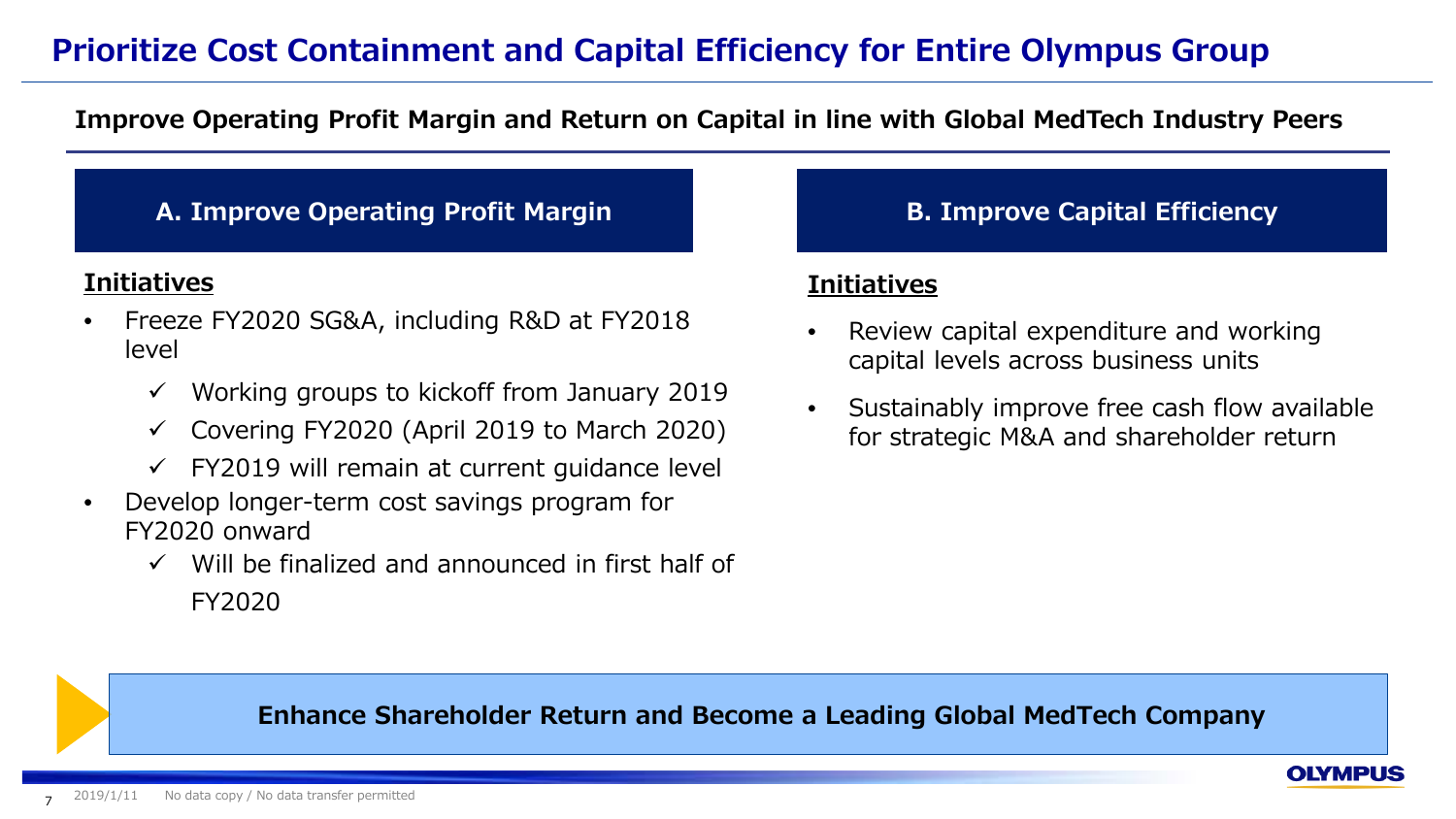# **Prioritize Cost Containment and Capital Efficiency for Entire Olympus Group**

#### **Improve Operating Profit Margin and Return on Capital in line with Global MedTech Industry Peers**

#### **A. Improve Operating Profit Margin B. Improve Capital Efficiency**

#### **Initiatives**

- Freeze FY2020 SG&A, including R&D at FY2018 level
	- $\checkmark$  Working groups to kickoff from January 2019
	- $\checkmark$  Covering FY2020 (April 2019 to March 2020)
	- $\checkmark$  FY2019 will remain at current quidance level
- Develop longer-term cost savings program for FY2020 onward
	- $\checkmark$  Will be finalized and announced in first half of FY2020

#### **Initiatives**

- Review capital expenditure and working capital levels across business units
- Sustainably improve free cash flow available for strategic M&A and shareholder return

**OLYMPUS** 

#### **Enhance Shareholder Return and Become a Leading Global MedTech Company**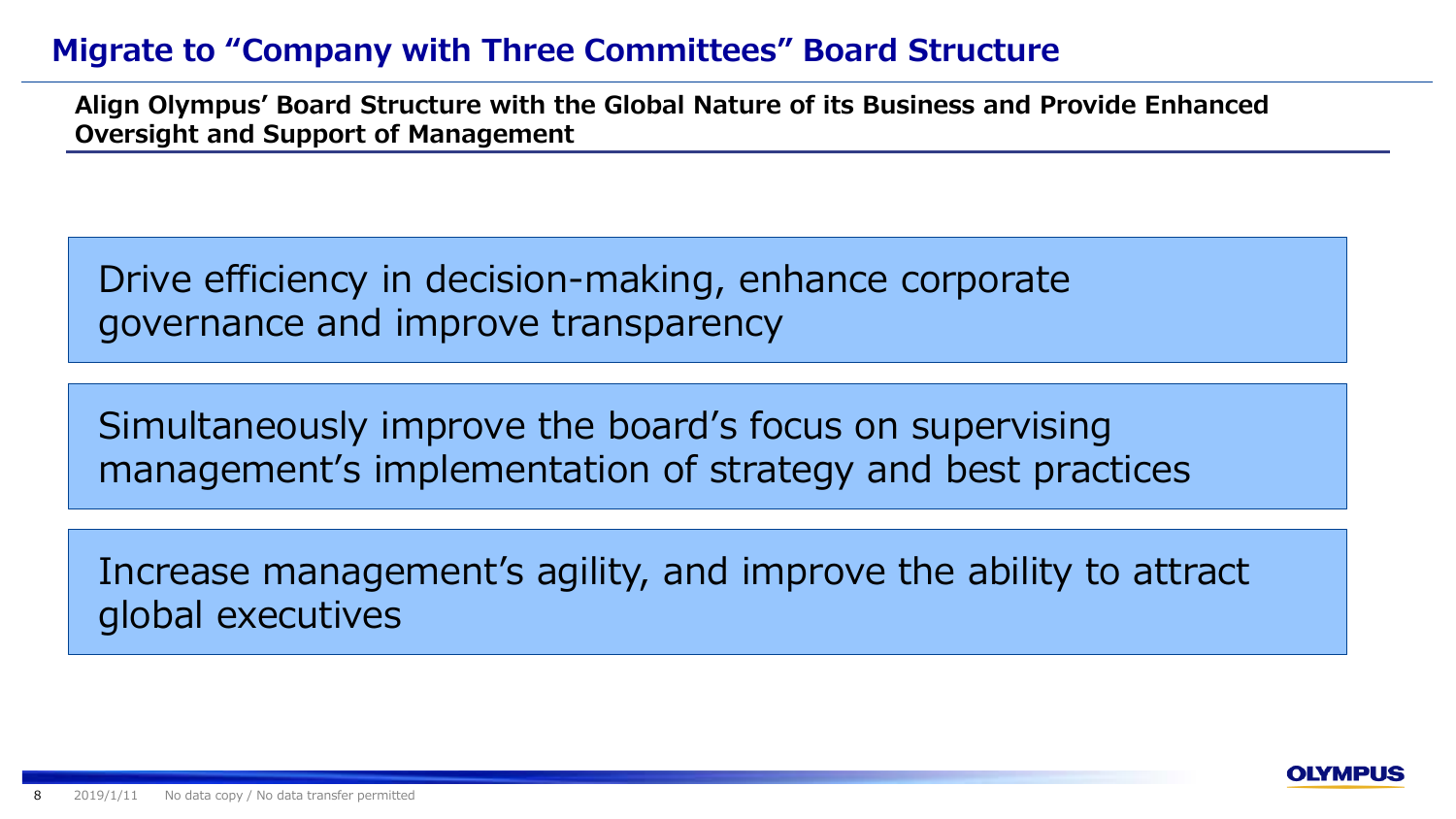# **Migrate to "Company with Three Committees" Board Structure**

**Align Olympus' Board Structure with the Global Nature of its Business and Provide Enhanced Oversight and Support of Management**

Drive efficiency in decision-making, enhance corporate governance and improve transparency

Simultaneously improve the board's focus on supervising management's implementation of strategy and best practices

Increase management's agility, and improve the ability to attract global executives

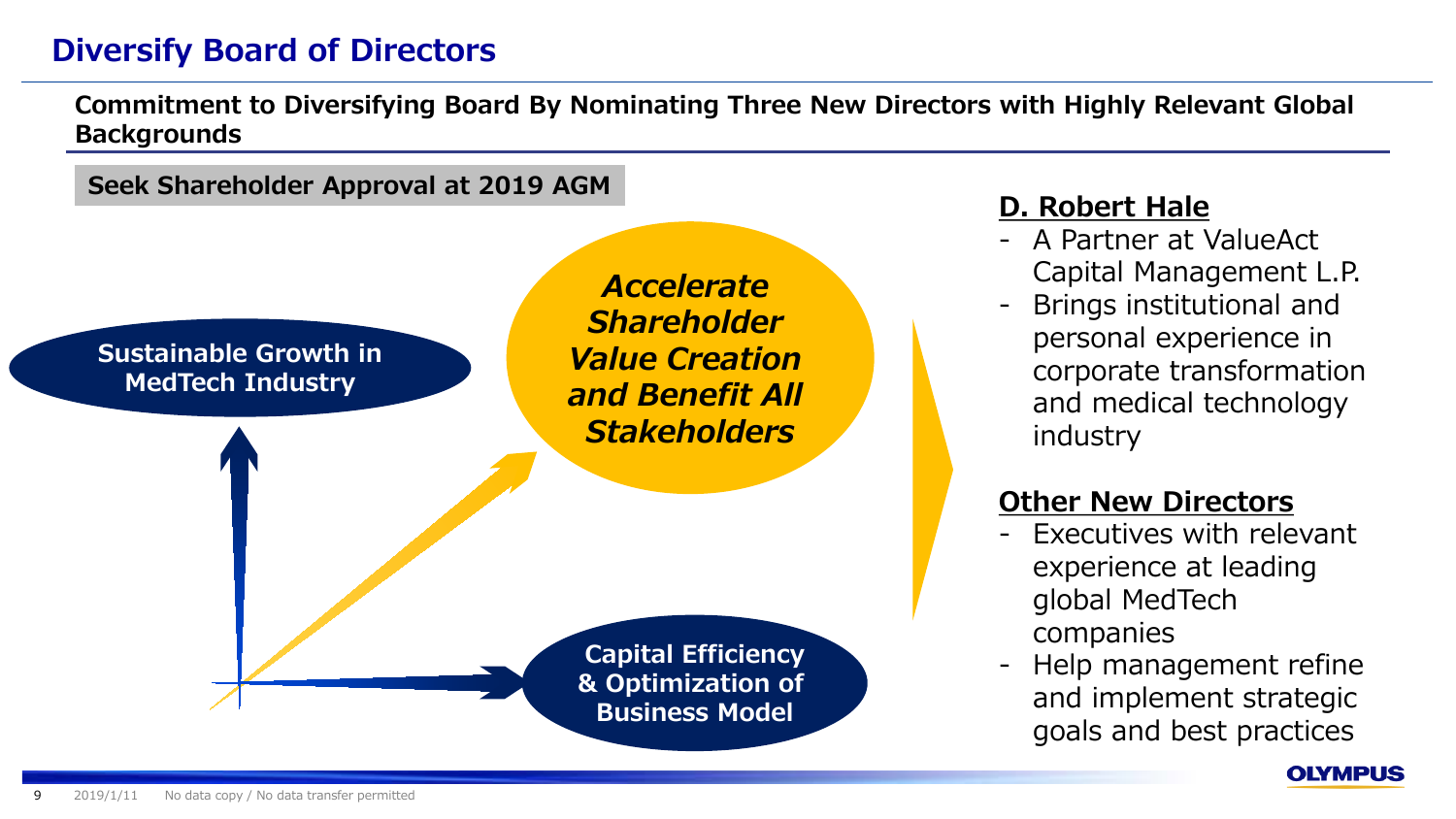# **Diversify Board of Directors**

**Commitment to Diversifying Board By Nominating Three New Directors with Highly Relevant Global Backgrounds**

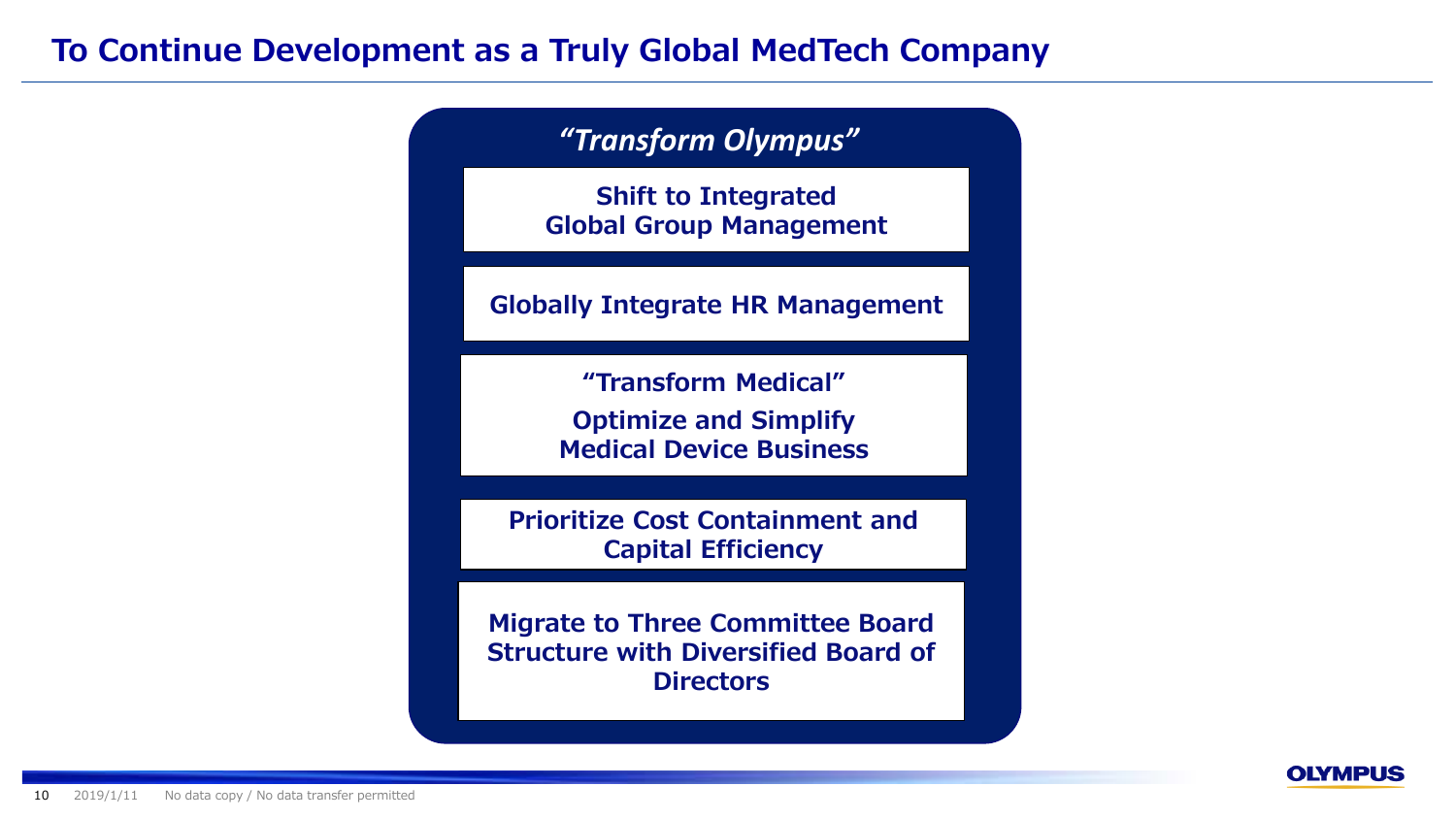## **To Continue Development as a Truly Global MedTech Company**

*"Transform Olympus"*

**Shift to Integrated Global Group Management**

**Globally Integrate HR Management**

**"Transform Medical" Optimize and Simplify Medical Device Business**

**Prioritize Cost Containment and Capital Efficiency**

**Migrate to Three Committee Board Structure with Diversified Board of Directors**